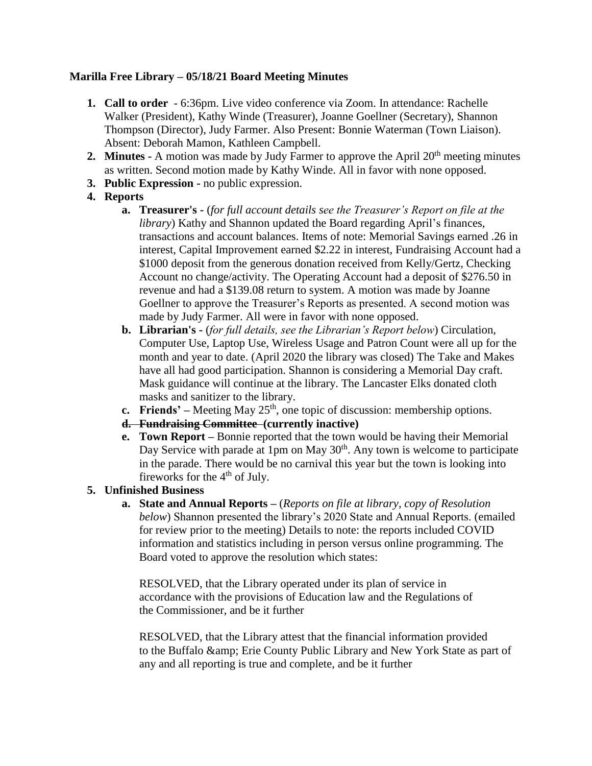# **Marilla Free Library – 05/18/21 Board Meeting Minutes**

- **1. Call to order** 6:36pm. Live video conference via Zoom. In attendance: Rachelle Walker (President), Kathy Winde (Treasurer), Joanne Goellner (Secretary), Shannon Thompson (Director), Judy Farmer. Also Present: Bonnie Waterman (Town Liaison). Absent: Deborah Mamon, Kathleen Campbell.
- **2. Minutes -** A motion was made by Judy Farmer to approve the April 20<sup>th</sup> meeting minutes as written. Second motion made by Kathy Winde. All in favor with none opposed.
- **3. Public Expression -** no public expression.

# **4. Reports**

- **a. Treasurer's -** (*for full account details see the Treasurer's Report on file at the library*) Kathy and Shannon updated the Board regarding April's finances, transactions and account balances. Items of note: Memorial Savings earned .26 in interest, Capital Improvement earned \$2.22 in interest, Fundraising Account had a \$1000 deposit from the generous donation received from Kelly/Gertz, Checking Account no change/activity. The Operating Account had a deposit of \$276.50 in revenue and had a \$139.08 return to system. A motion was made by Joanne Goellner to approve the Treasurer's Reports as presented. A second motion was made by Judy Farmer. All were in favor with none opposed.
- **b. Librarian's -** (*for full details, see the Librarian's Report below*) Circulation, Computer Use, Laptop Use, Wireless Usage and Patron Count were all up for the month and year to date. (April 2020 the library was closed) The Take and Makes have all had good participation. Shannon is considering a Memorial Day craft. Mask guidance will continue at the library. The Lancaster Elks donated cloth masks and sanitizer to the library.
- **c. Friends'** Meeting May  $25<sup>th</sup>$ , one topic of discussion: membership options.
- **d. Fundraising Committee (currently inactive)**
- **e. Town Report –** Bonnie reported that the town would be having their Memorial Day Service with parade at 1pm on May  $30<sup>th</sup>$ . Any town is welcome to participate in the parade. There would be no carnival this year but the town is looking into fireworks for the  $4<sup>th</sup>$  of July.

# **5. Unfinished Business**

**a. State and Annual Reports –** (*Reports on file at library, copy of Resolution below*) Shannon presented the library's 2020 State and Annual Reports. (emailed for review prior to the meeting) Details to note: the reports included COVID information and statistics including in person versus online programming. The Board voted to approve the resolution which states:

RESOLVED, that the Library operated under its plan of service in accordance with the provisions of Education law and the Regulations of the Commissioner, and be it further

RESOLVED, that the Library attest that the financial information provided to the Buffalo & amp; Erie County Public Library and New York State as part of any and all reporting is true and complete, and be it further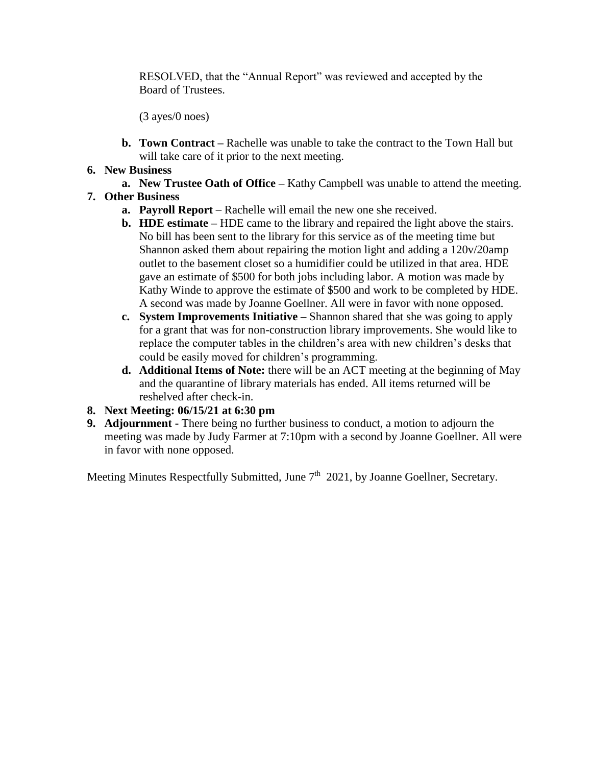RESOLVED, that the "Annual Report" was reviewed and accepted by the Board of Trustees.

(3 ayes/0 noes)

- **b. Town Contract –** Rachelle was unable to take the contract to the Town Hall but will take care of it prior to the next meeting.
- **6. New Business**
	- **a. New Trustee Oath of Office –** Kathy Campbell was unable to attend the meeting.

# **7. Other Business**

- **a. Payroll Report** Rachelle will email the new one she received.
- **b. HDE estimate –** HDE came to the library and repaired the light above the stairs. No bill has been sent to the library for this service as of the meeting time but Shannon asked them about repairing the motion light and adding a 120v/20amp outlet to the basement closet so a humidifier could be utilized in that area. HDE gave an estimate of \$500 for both jobs including labor. A motion was made by Kathy Winde to approve the estimate of \$500 and work to be completed by HDE. A second was made by Joanne Goellner. All were in favor with none opposed.
- **c. System Improvements Initiative –** Shannon shared that she was going to apply for a grant that was for non-construction library improvements. She would like to replace the computer tables in the children's area with new children's desks that could be easily moved for children's programming.
- **d. Additional Items of Note:** there will be an ACT meeting at the beginning of May and the quarantine of library materials has ended. All items returned will be reshelved after check-in.
- **8. Next Meeting: 06/15/21 at 6:30 pm**
- **9. Adjournment -** There being no further business to conduct, a motion to adjourn the meeting was made by Judy Farmer at 7:10pm with a second by Joanne Goellner. All were in favor with none opposed.

Meeting Minutes Respectfully Submitted, June 7<sup>th</sup> 2021, by Joanne Goellner, Secretary.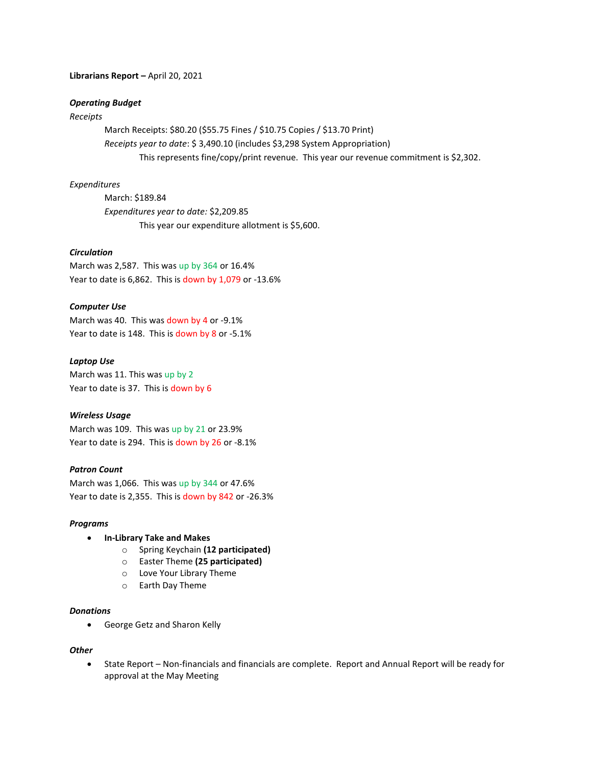### **Librarians Report –** April 20, 2021

## *Operating Budget*

## *Receipts*

March Receipts: \$80.20 (\$55.75 Fines / \$10.75 Copies / \$13.70 Print) *Receipts year to date*: \$ 3,490.10 (includes \$3,298 System Appropriation) This represents fine/copy/print revenue. This year our revenue commitment is \$2,302.

### *Expenditures*

March: \$189.84 *Expenditures year to date:* \$2,209.85 This year our expenditure allotment is \$5,600.

## *Circulation*

March was 2,587. This was up by 364 or 16.4% Year to date is 6,862. This is down by 1,079 or -13.6%

### *Computer Use*

March was 40. This was down by 4 or -9.1% Year to date is 148. This is down by 8 or -5.1%

### *Laptop Use*

March was 11. This was up by 2 Year to date is 37. This is down by 6

### *Wireless Usage*

March was 109. This was up by 21 or 23.9% Year to date is 294. This is down by 26 or -8.1%

### *Patron Count*

March was 1,066. This was up by 344 or 47.6% Year to date is 2,355. This is down by 842 or -26.3%

### *Programs*

- **In-Library Take and Makes**
	- o Spring Keychain **(12 participated)**
	- o Easter Theme **(25 participated)**
	- o Love Your Library Theme
	- o Earth Day Theme

### *Donations*

George Getz and Sharon Kelly

#### *Other*

 State Report – Non-financials and financials are complete. Report and Annual Report will be ready for approval at the May Meeting